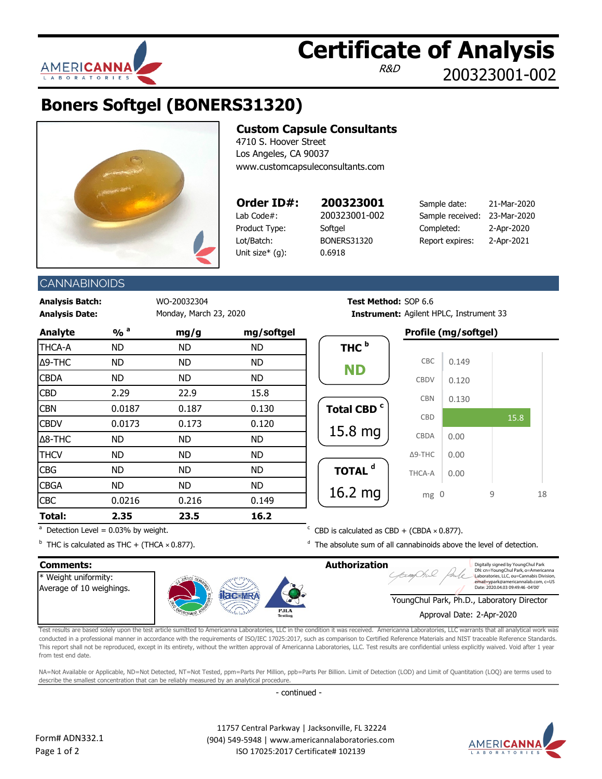

# **Certificate of Analysis**

R&D

200323001-002

## **Boners Softgel (BONERS31320)**



#### **Custom Capsule Consultants** 4710 S. Hoover Street

Los Angeles, CA 90037 www.customcapsuleconsultants.com

### **Order ID#: 200323001**

Lab Code#: 200323001-002 Product Type: Softgel Lot/Batch: BONERS31320

Unit size\* (g): 0.6918

| Sample date:     | 21-Mar-2020 |
|------------------|-------------|
| Sample received: | 23-Mar-2020 |
| Completed:       | 2-Apr-2020  |
| Report expires:  | 2-Apr-2021  |
|                  |             |

### **CANNABINOIDS**

**Analysis Batch:** WO-20032304 **Test Method:** SOP 6.6 **Analysis Date: Instrument: Instrument: Instrument: Instrument: Instrument: Instrument: Instrument: Instrument: Instrument: Instrument: Instrument: Instrument: Instrument: Instrument: Instrume** 

|                  | mg/softgel |           | mg/g      |                |  |  | $\frac{9}{0}$ <sup>a</sup> | <b>Analyte</b> |
|------------------|------------|-----------|-----------|----------------|--|--|----------------------------|----------------|
| THC <sup>b</sup> | <b>ND</b>  | ND.       | <b>ND</b> | <b>THCA-A</b>  |  |  |                            |                |
|                  | <b>ND</b>  | <b>ND</b> | ND        | Δ9-THC         |  |  |                            |                |
| <b>ND</b>        | <b>ND</b>  | <b>ND</b> | ND        | <b>CBDA</b>    |  |  |                            |                |
|                  | 15.8       | 22.9      | 2.29      | <b>CBD</b>     |  |  |                            |                |
| <b>Total CB</b>  | 0.130      | 0.187     | 0.0187    | <b>CBN</b>     |  |  |                            |                |
|                  | 0.120      | 0.173     | 0.0173    | <b>CBDV</b>    |  |  |                            |                |
| 15.8n            | <b>ND</b>  | <b>ND</b> | ND        | $\Delta$ 8-THC |  |  |                            |                |
|                  | <b>ND</b>  | <b>ND</b> | <b>ND</b> | <b>THCV</b>    |  |  |                            |                |
| <b>TOTAL</b>     | <b>ND</b>  | <b>ND</b> | ND        | <b>CBG</b>     |  |  |                            |                |
|                  | <b>ND</b>  | <b>ND</b> | ND        | <b>CBGA</b>    |  |  |                            |                |
| 16.2n            | 0.149      | 0.216     | 0.0216    | <b>CBC</b>     |  |  |                            |                |
|                  | 16.2       | 23.5      | 2.35      | Total:         |  |  |                            |                |

 $a$  Detection Level = 0.03% by weight.

# Instrument: Agilent HPLC, Instrument 33

## **Analyte % <sup>a</sup> mg/g mg/softgel Profile (mg/softgel)**



 $C$  CBD is calculated as CBD + (CBDA  $\times$  0.877).

 $<sup>d</sup>$  The absolute sum of all cannabinoids above the level of detection.</sup>

 $b$  THC is calculated as THC + (THCA  $\times$  0.877).

#### **Comments: Authorization** Digitally signed by YoungChul Park DN: cn=YoungChul Park, o=Americanna Weight uniformity: Laboratories, LLC, ou=Cannabis Division, email=ypark@americannalab.com, c=US Date: 2020.04.03 09:49:46 -04'00'Average of 10 weighings. **ac-MR** YoungChul Park, Ph.D., Laboratory Director Approval Date: 2-Apr-2020

Test results are based solely upon the test article sumitted to Americanna Laboratories, LLC in the condition it was received. Americanna Laboratories, LLC warrants that all analytical work was conducted in a professional manner in accordance with the requirements of ISO/IEC 17025:2017, such as comparison to Certified Reference Materials and NIST traceable Reference Standards. This report shall not be reproduced, except in its entirety, without the written approval of Americanna Laboratories, LLC. Test results are confidential unless explicitly waived. Void after 1 year from test end date.

NA=Not Available or Applicable, ND=Not Detected, NT=Not Tested, ppm=Parts Per Million, ppb=Parts Per Billion. Limit of Detection (LOD) and Limit of Quantitation (LOQ) are terms used to describe the smallest concentration that can be reliably measured by an analytical procedure.

- continued -

 11757 Central Parkway | Jacksonville, FL 32224 (904) 549-5948 | www.americannalaboratories.com ISO 17025:2017 Certificate# 102139